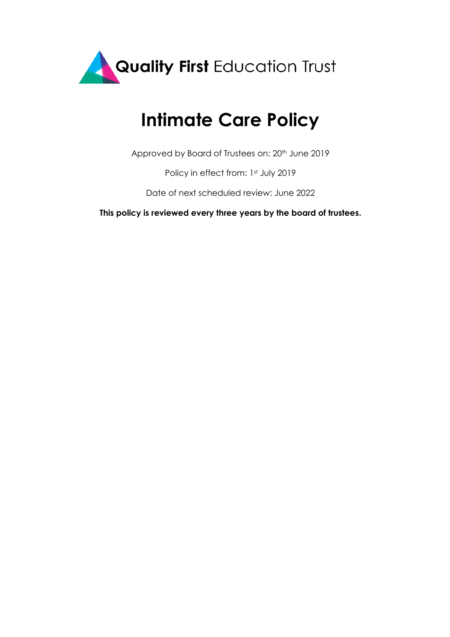

# **Intimate Care Policy**

Approved by Board of Trustees on: 20<sup>th</sup> June 2019

Policy in effect from: 1st July 2019

Date of next scheduled review: June 2022

**This policy is reviewed every three years by the board of trustees.**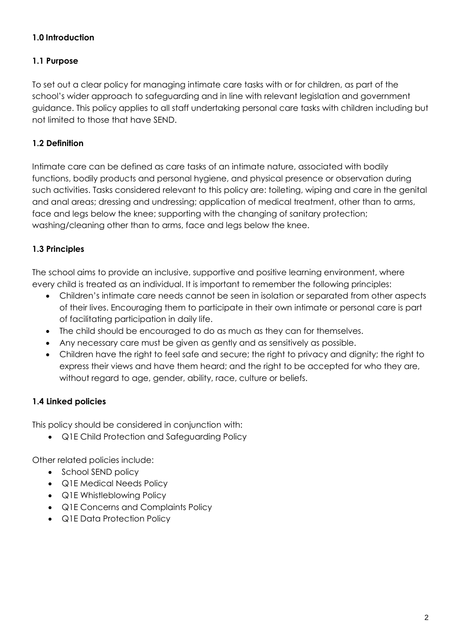# **1.0 Introduction**

## **1.1 Purpose**

To set out a clear policy for managing intimate care tasks with or for children, as part of the school's wider approach to safeguarding and in line with relevant legislation and government guidance. This policy applies to all staff undertaking personal care tasks with children including but not limited to those that have SEND.

#### **1.2 Definition**

Intimate care can be defined as care tasks of an intimate nature, associated with bodily functions, bodily products and personal hygiene, and physical presence or observation during such activities. Tasks considered relevant to this policy are: toileting, wiping and care in the genital and anal areas; dressing and undressing; application of medical treatment, other than to arms, face and legs below the knee; supporting with the changing of sanitary protection; washing/cleaning other than to arms, face and legs below the knee.

## **1.3 Principles**

The school aims to provide an inclusive, supportive and positive learning environment, where every child is treated as an individual. It is important to remember the following principles:

- Children's intimate care needs cannot be seen in isolation or separated from other aspects of their lives. Encouraging them to participate in their own intimate or personal care is part of facilitating participation in daily life.
- The child should be encouraged to do as much as they can for themselves.
- Any necessary care must be given as gently and as sensitively as possible.
- Children have the right to feel safe and secure; the right to privacy and dignity; the right to express their views and have them heard; and the right to be accepted for who they are, without regard to age, gender, ability, race, culture or beliefs.

#### **1.4 Linked policies**

This policy should be considered in conjunction with:

• Q1E Child Protection and Safeguarding Policy

Other related policies include:

- School SEND policy
- Q1E Medical Needs Policy
- Q1E Whistleblowing Policy
- Q1E Concerns and Complaints Policy
- Q1E Data Protection Policy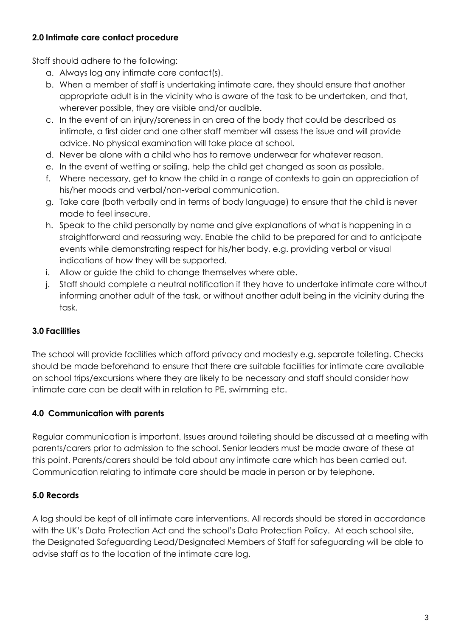# **2.0 Intimate care contact procedure**

Staff should adhere to the following:

- a. Always log any intimate care contact(s).
- b. When a member of staff is undertaking intimate care, they should ensure that another appropriate adult is in the vicinity who is aware of the task to be undertaken, and that, wherever possible, they are visible and/or audible.
- c. In the event of an injury/soreness in an area of the body that could be described as intimate, a first aider and one other staff member will assess the issue and will provide advice. No physical examination will take place at school.
- d. Never be alone with a child who has to remove underwear for whatever reason.
- e. In the event of wetting or soiling, help the child get changed as soon as possible.
- f. Where necessary, get to know the child in a range of contexts to gain an appreciation of his/her moods and verbal/non-verbal communication.
- g. Take care (both verbally and in terms of body language) to ensure that the child is never made to feel insecure.
- h. Speak to the child personally by name and give explanations of what is happening in a straightforward and reassuring way. Enable the child to be prepared for and to anticipate events while demonstrating respect for his/her body, e.g. providing verbal or visual indications of how they will be supported.
- i. Allow or guide the child to change themselves where able.
- j. Staff should complete a neutral notification if they have to undertake intimate care without informing another adult of the task, or without another adult being in the vicinity during the task.

# **3.0 Facilities**

The school will provide facilities which afford privacy and modesty e.g. separate toileting. Checks should be made beforehand to ensure that there are suitable facilities for intimate care available on school trips/excursions where they are likely to be necessary and staff should consider how intimate care can be dealt with in relation to PE, swimming etc.

# **4.0 Communication with parents**

Regular communication is important. Issues around toileting should be discussed at a meeting with parents/carers prior to admission to the school. Senior leaders must be made aware of these at this point. Parents/carers should be told about any intimate care which has been carried out. Communication relating to intimate care should be made in person or by telephone.

# **5.0 Records**

A log should be kept of all intimate care interventions. All records should be stored in accordance with the UK's Data Protection Act and the school's Data Protection Policy. At each school site, the Designated Safeguarding Lead/Designated Members of Staff for safeguarding will be able to advise staff as to the location of the intimate care log.